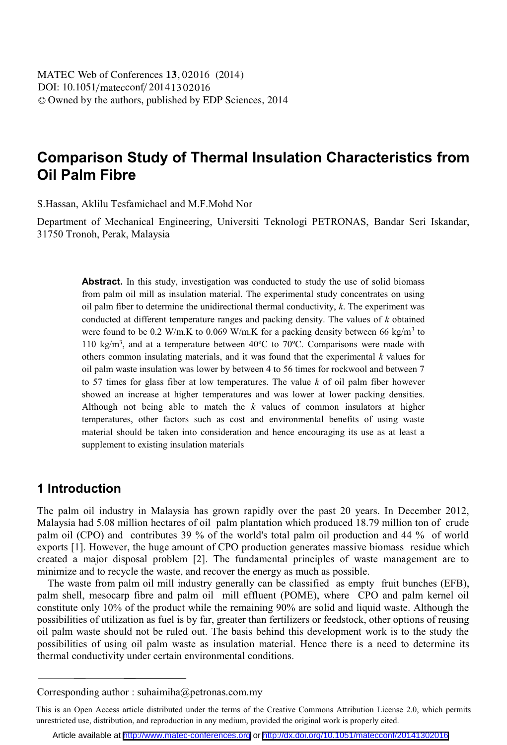# **Comparison Study of Thermal Insulation Characteristics from Oil Palm Fibre**

S.Hassan, Aklilu Tesfamichael and M.F.Mohd Nor

Department of Mechanical Engineering, Universiti Teknologi PETRONAS, Bandar Seri Iskandar, 31750 Tronoh, Perak, Malaysia

> Abstract. In this study, investigation was conducted to study the use of solid biomass from palm oil mill as insulation material. The experimental study concentrates on using oil palm fiber to determine the unidirectional thermal conductivity, *k*. The experiment was conducted at different temperature ranges and packing density. The values of *k* obtained were found to be 0.2 W/m.K to 0.069 W/m.K for a packing density between 66 kg/m<sup>3</sup> to 110 kg/m3, and at a temperature between 40ºC to 70ºC. Comparisons were made with others common insulating materials, and it was found that the experimental *k* values for oil palm waste insulation was lower by between 4 to 56 times for rockwool and between 7 to 57 times for glass fiber at low temperatures. The value *k* of oil palm fiber however showed an increase at higher temperatures and was lower at lower packing densities. Although not being able to match the *k* values of common insulators at higher temperatures, other factors such as cost and environmental benefits of using waste material should be taken into consideration and hence encouraging its use as at least a supplement to existing insulation materials

### **1 Introduction**

The palm oil industry in Malaysia has grown rapidly over the past 20 years. In December 2012, Malaysia had 5.08 million hectares of oil palm plantation which produced 18.79 million ton of crude palm oil (CPO) and contributes 39 % of the world's total palm oil production and 44 % of world exports [1]. However, the huge amount of CPO production generates massive biomass residue which created a major disposal problem [2]. The fundamental principles of waste management are to minimize and to recycle the waste, and recover the energy as much as possible.

The waste from palm oil mill industry generally can be classified as empty fruit bunches (EFB), palm shell, mesocarp fibre and palm oil mill effluent (POME), where CPO and palm kernel oil constitute only 10% of the product while the remaining 90% are solid and liquid waste. Although the possibilities of utilization as fuel is by far, greater than fertilizers or feedstock, other options of reusing oil palm waste should not be ruled out. The basis behind this development work is to the study the possibilities of using oil palm waste as insulation material. Hence there is a need to determine its thermal conductivity under certain environmental conditions.

Corresponding author : suhaimiha@petronas.com.my

This is an Open Access article distributed under the terms of the Creative Commons Attribution License 2.0, which permits unrestricted use, distribution, and reproduction in any medium, provided the original work is properly cited.

Article available at <http://www.matec-conferences.org> or <http://dx.doi.org/10.1051/matecconf/20141302016>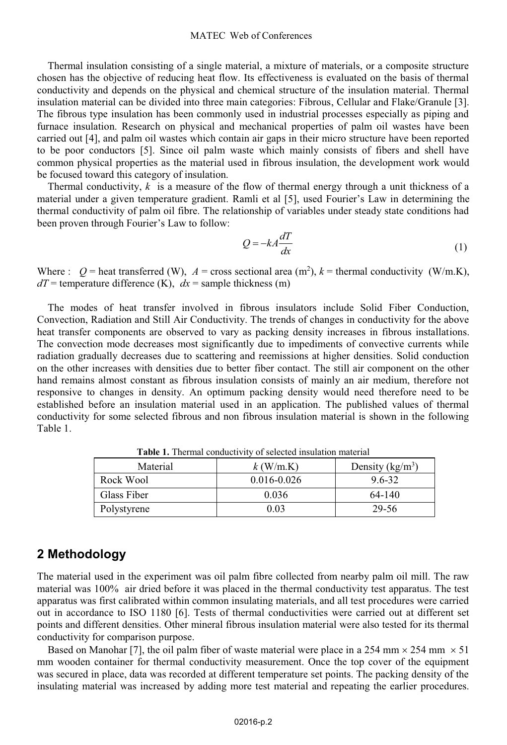Thermal insulation consisting of a single material, a mixture of materials, or a composite structure chosen has the objective of reducing heat flow. Its effectiveness is evaluated on the basis of thermal conductivity and depends on the physical and chemical structure of the insulation material. Thermal insulation material can be divided into three main categories: Fibrous, Cellular and Flake/Granule [3]. The fibrous type insulation has been commonly used in industrial processes especially as piping and furnace insulation. Research on physical and mechanical properties of palm oil wastes have been carried out [4], and palm oil wastes which contain air gaps in their micro structure have been reported to be poor conductors [5]. Since oil palm waste which mainly consists of fibers and shell have common physical properties as the material used in fibrous insulation, the development work would be focused toward this category of insulation.

Thermal conductivity, *k* is a measure of the flow of thermal energy through a unit thickness of a material under a given temperature gradient. Ramli et al [5], used Fourier's Law in determining the thermal conductivity of palm oil fibre. The relationship of variables under steady state conditions had been proven through Fourier's Law to follow:

$$
Q = -kA \frac{dT}{dx} \tag{1}
$$

Where :  $Q =$  heat transferred (W),  $A =$  cross sectional area (m<sup>2</sup>),  $k =$  thermal conductivity (W/m.K),  $dT$  = temperature difference (K),  $dx$  = sample thickness (m)

The modes of heat transfer involved in fibrous insulators include Solid Fiber Conduction, Convection, Radiation and Still Air Conductivity. The trends of changes in conductivity for the above heat transfer components are observed to vary as packing density increases in fibrous installations. The convection mode decreases most significantly due to impediments of convective currents while radiation gradually decreases due to scattering and reemissions at higher densities. Solid conduction on the other increases with densities due to better fiber contact. The still air component on the other hand remains almost constant as fibrous insulation consists of mainly an air medium, therefore not responsive to changes in density. An optimum packing density would need therefore need to be established before an insulation material used in an application. The published values of thermal conductivity for some selected fibrous and non fibrous insulation material is shown in the following Table 1.

| Material    | $k$ (W/m.K)     | Density $(kg/m^3)$ |
|-------------|-----------------|--------------------|
| Rock Wool   | $0.016 - 0.026$ | 9.6-32             |
| Glass Fiber | 0.036           | 64-140             |
| Polystyrene | 9.03            | 29-56              |

**Table 1.** Thermal conductivity of selected insulation material

### **2 Methodology**

The material used in the experiment was oil palm fibre collected from nearby palm oil mill. The raw material was 100% air dried before it was placed in the thermal conductivity test apparatus. The test apparatus was first calibrated within common insulating materials, and all test procedures were carried out in accordance to ISO 1180 [6]. Tests of thermal conductivities were carried out at different set points and different densities. Other mineral fibrous insulation material were also tested for its thermal conductivity for comparison purpose.

Based on Manohar [7], the oil palm fiber of waste material were place in a 254 mm  $\times$  254 mm  $\times$  51 mm wooden container for thermal conductivity measurement. Once the top cover of the equipment was secured in place, data was recorded at different temperature set points. The packing density of the insulating material was increased by adding more test material and repeating the earlier procedures.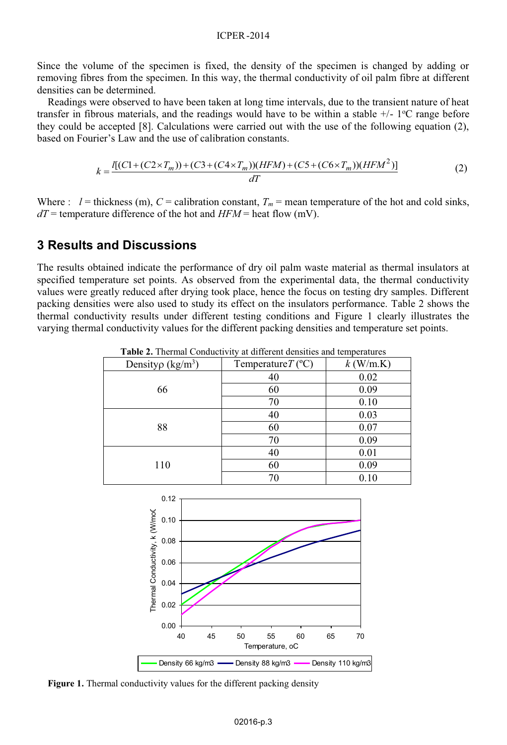Since the volume of the specimen is fixed, the density of the specimen is changed by adding or removing fibres from the specimen. In this way, the thermal conductivity of oil palm fibre at different densities can be determined.

Readings were observed to have been taken at long time intervals, due to the transient nature of heat transfer in fibrous materials, and the readings would have to be within a stable  $+/-1$ <sup>o</sup>C range before they could be accepted [8]. Calculations were carried out with the use of the following equation (2), based on Fourier's Law and the use of calibration constants.

$$
k = \frac{I[(C1 + (C2 \times T_m)) + (C3 + (C4 \times T_m))(HFM) + (C5 + (C6 \times T_m))(HFM^2)]}{dT}
$$
(2)

Where :  $l =$  thickness (m),  $C =$  calibration constant,  $T_m =$  mean temperature of the hot and cold sinks,  $dT$  = temperature difference of the hot and  $HFM$  = heat flow (mV).

### **3 Results and Discussions**

The results obtained indicate the performance of dry oil palm waste material as thermal insulators at specified temperature set points. As observed from the experimental data, the thermal conductivity values were greatly reduced after drying took place, hence the focus on testing dry samples. Different packing densities were also used to study its effect on the insulators performance. Table 2 shows the thermal conductivity results under different testing conditions and Figure 1 clearly illustrates the varying thermal conductivity values for the different packing densities and temperature set points.

| Density $\rho$ (kg/m <sup>3</sup> ) | Temperature $T$ (°C) | $k$ (W/m.K) |
|-------------------------------------|----------------------|-------------|
| 66                                  | 40                   | 0.02        |
|                                     | 60                   | 0.09        |
|                                     | 70                   | 0.10        |
| 88                                  | 40                   | 0.03        |
|                                     | 60                   | 0.07        |
|                                     | 70                   | 0.09        |
| 110                                 | 40                   | 0.01        |
|                                     | 60                   | 0.09        |
|                                     | 70                   | 0.10        |

**Table 2.** Thermal Conductivity at different densities and temperatures



**Figure 1.** Thermal conductivity values for the different packing density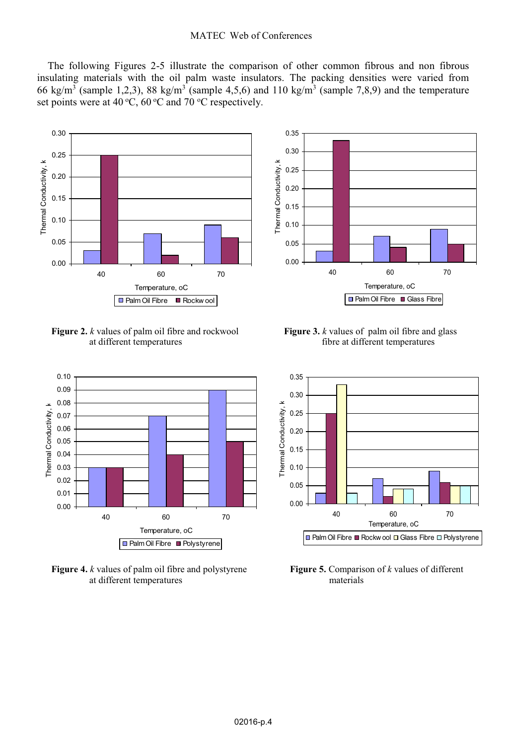#### MATEC Web of Conferences

The following Figures 2-5 illustrate the comparison of other common fibrous and non fibrous insulating materials with the oil palm waste insulators. The packing densities were varied from 66 kg/m<sup>3</sup> (sample 1,2,3), 88 kg/m<sup>3</sup> (sample 4,5,6) and 110 kg/m<sup>3</sup> (sample 7,8,9) and the temperature set points were at 40 °C, 60 °C and 70 °C respectively.



**Figure 2.** *k* values of palm oil fibre and rockwool **Figure 3.** *k* values of palm oil fibre and glass at different temperatures fibre at different temperatures



at different temperatures



fibre at different temperatures